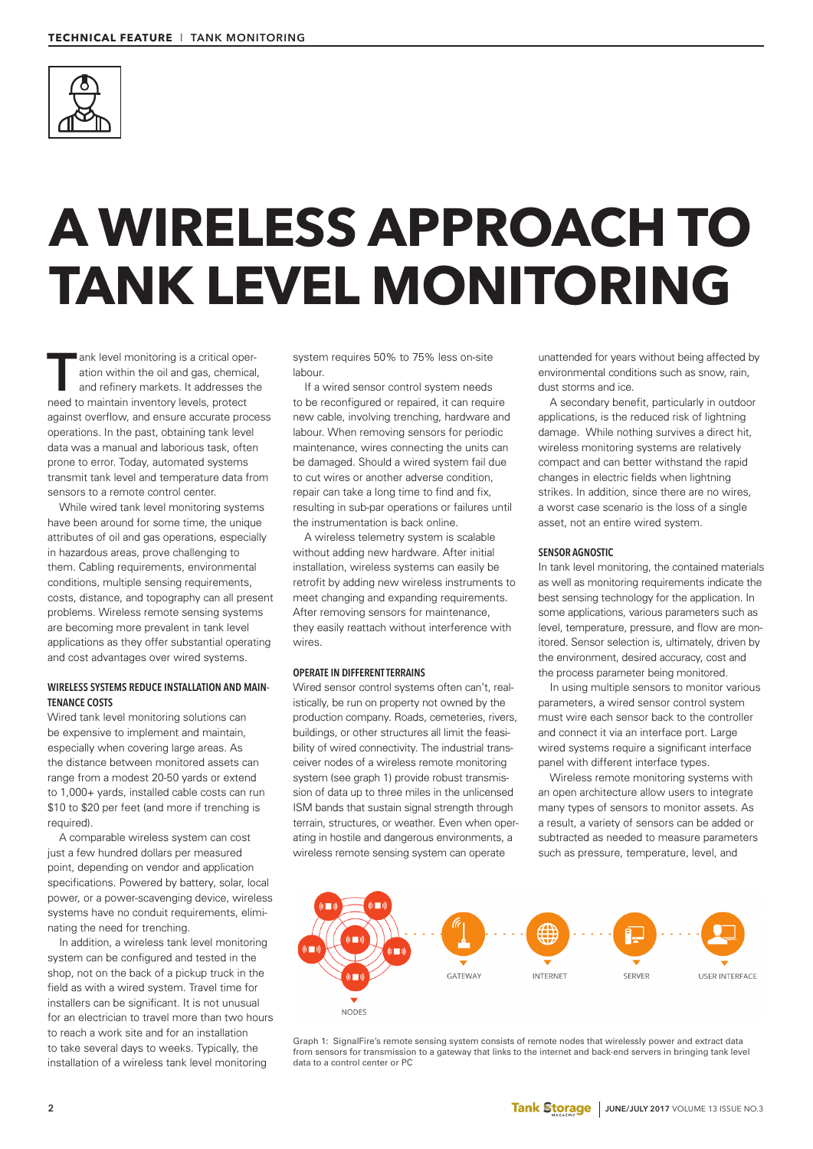

# **A WIRELESS APPROACH TO TANK LEVEL MONITORING**

ank level monitoring is a critical operation within the oil and gas, chemical<br>and refinery markets. It addresses the<br>need to maintain inventory levels, protect ation within the oil and gas, chemical, and refinery markets. It addresses the against overflow, and ensure accurate process operations. In the past, obtaining tank level data was a manual and laborious task, often prone to error. Today, automated systems transmit tank level and temperature data from sensors to a remote control center.

While wired tank level monitoring systems have been around for some time, the unique attributes of oil and gas operations, especially in hazardous areas, prove challenging to them. Cabling requirements, environmental conditions, multiple sensing requirements, costs, distance, and topography can all present problems. Wireless remote sensing systems are becoming more prevalent in tank level applications as they offer substantial operating and cost advantages over wired systems.

# **WIRELESS SYSTEMS REDUCE INSTALLATION AND MAIN-TENANCE COSTS**

Wired tank level monitoring solutions can be expensive to implement and maintain, especially when covering large areas. As the distance between monitored assets can range from a modest 20-50 yards or extend to 1,000+ yards, installed cable costs can run \$10 to \$20 per feet (and more if trenching is required).

A comparable wireless system can cost just a few hundred dollars per measured point, depending on vendor and application specifications. Powered by battery, solar, local power, or a power-scavenging device, wireless systems have no conduit requirements, eliminating the need for trenching.

In addition, a wireless tank level monitoring system can be configured and tested in the shop, not on the back of a pickup truck in the field as with a wired system. Travel time for installers can be significant. It is not unusual for an electrician to travel more than two hours to reach a work site and for an installation to take several days to weeks. Typically, the installation of a wireless tank level monitoring

system requires 50% to 75% less on-site labour.

If a wired sensor control system needs to be reconfigured or repaired, it can require new cable, involving trenching, hardware and labour. When removing sensors for periodic maintenance, wires connecting the units can be damaged. Should a wired system fail due to cut wires or another adverse condition, repair can take a long time to find and fix, resulting in sub-par operations or failures until the instrumentation is back online.

A wireless telemetry system is scalable without adding new hardware. After initial installation, wireless systems can easily be retrofit by adding new wireless instruments to meet changing and expanding requirements. After removing sensors for maintenance, they easily reattach without interference with wires.

## **OPERATE IN DIFFERENT TERRAINS**

Wired sensor control systems often can't, realistically, be run on property not owned by the production company. Roads, cemeteries, rivers, buildings, or other structures all limit the feasibility of wired connectivity. The industrial transceiver nodes of a wireless remote monitoring system (see graph 1) provide robust transmission of data up to three miles in the unlicensed ISM bands that sustain signal strength through terrain, structures, or weather. Even when operating in hostile and dangerous environments, a wireless remote sensing system can operate

unattended for years without being affected by environmental conditions such as snow, rain, dust storms and ice.

A secondary benefit, particularly in outdoor applications, is the reduced risk of lightning damage. While nothing survives a direct hit, wireless monitoring systems are relatively compact and can better withstand the rapid changes in electric fields when lightning strikes. In addition, since there are no wires, a worst case scenario is the loss of a single asset, not an entire wired system.

### **SENSOR AGNOSTIC**

In tank level monitoring, the contained materials as well as monitoring requirements indicate the best sensing technology for the application. In some applications, various parameters such as level, temperature, pressure, and flow are monitored. Sensor selection is, ultimately, driven by the environment, desired accuracy, cost and the process parameter being monitored.

In using multiple sensors to monitor various parameters, a wired sensor control system must wire each sensor back to the controller and connect it via an interface port. Large wired systems require a significant interface panel with different interface types.

Wireless remote monitoring systems with an open architecture allow users to integrate many types of sensors to monitor assets. As a result, a variety of sensors can be added or subtracted as needed to measure parameters such as pressure, temperature, level, and



Graph 1: SignalFire's remote sensing system consists of remote nodes that wirelessly power and extract data from sensors for transmission to a gateway that links to the internet and back-end servers in bringing tank level data to a control center or PC